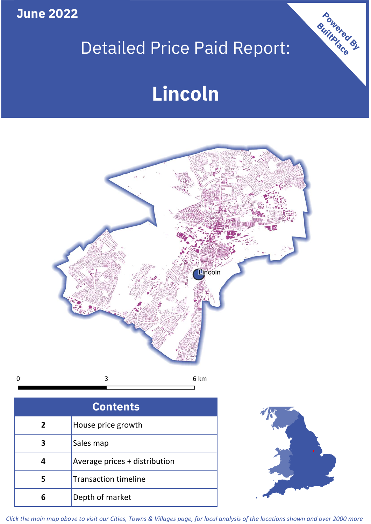**June 2022**

 $\mathbf 0$ 

# Detailed Price Paid Report:

# **Lincoln**



| <b>Contents</b> |                               |  |  |
|-----------------|-------------------------------|--|--|
| $\overline{2}$  | House price growth            |  |  |
| 3               | Sales map                     |  |  |
|                 | Average prices + distribution |  |  |
| 5               | <b>Transaction timeline</b>   |  |  |
| 6               | Depth of market               |  |  |



Powered By

*Click the main map above to visit our Cities, Towns & Villages page, for local analysis of the locations shown and over 2000 more*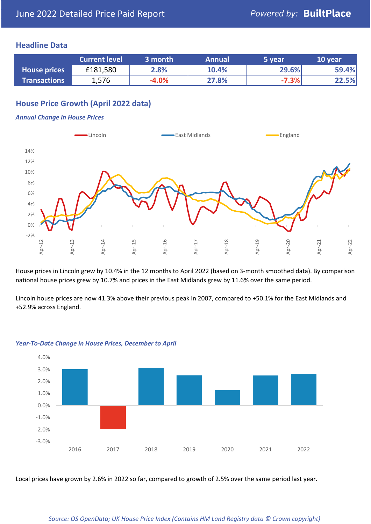### **Headline Data**

|                     | <b>Current level</b> | 3 month  | <b>Annual</b> | '5 vear | 10 year |
|---------------------|----------------------|----------|---------------|---------|---------|
| <b>House prices</b> | £181,580             | 2.8%     | 10.4%         | 29.6%   | 59.4%   |
| <b>Transactions</b> | 1,576                | $-4.0\%$ | 27.8%         | $-7.3%$ | 22.5%   |

# **House Price Growth (April 2022 data)**

#### *Annual Change in House Prices*



House prices in Lincoln grew by 10.4% in the 12 months to April 2022 (based on 3-month smoothed data). By comparison national house prices grew by 10.7% and prices in the East Midlands grew by 11.6% over the same period.

Lincoln house prices are now 41.3% above their previous peak in 2007, compared to +50.1% for the East Midlands and +52.9% across England.



#### *Year-To-Date Change in House Prices, December to April*

Local prices have grown by 2.6% in 2022 so far, compared to growth of 2.5% over the same period last year.

#### *Source: OS OpenData; UK House Price Index (Contains HM Land Registry data © Crown copyright)*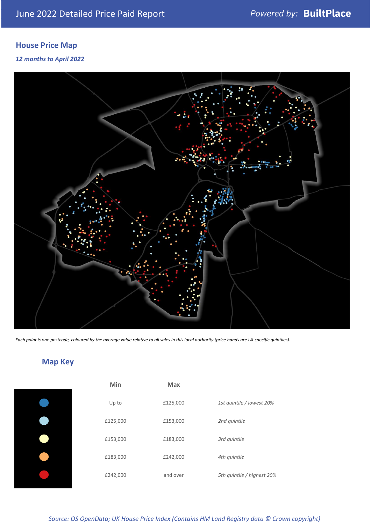# **House Price Map**

### *12 months to April 2022*



*Each point is one postcode, coloured by the average value relative to all sales in this local authority (price bands are LA-specific quintiles).*

**Map Key**

| Min      | <b>Max</b> |                            |
|----------|------------|----------------------------|
| Up to    | £125,000   | 1st quintile / lowest 20%  |
| £125,000 | £153,000   | 2nd quintile               |
| £153,000 | £183,000   | 3rd quintile               |
| £183,000 | £242,000   | 4th quintile               |
| £242,000 | and over   | 5th quintile / highest 20% |

#### *Source: OS OpenData; UK House Price Index (Contains HM Land Registry data © Crown copyright)*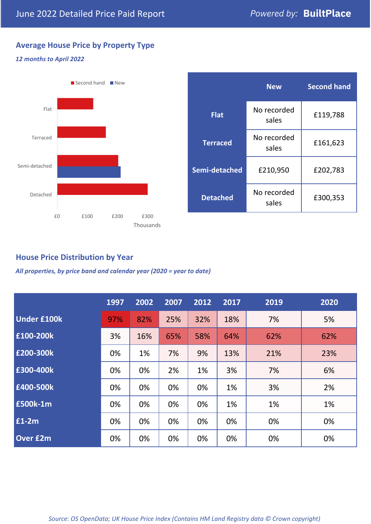# **Average House Price by Property Type**

#### *12 months to April 2022*



|                 | <b>New</b>           | <b>Second hand</b> |  |  |
|-----------------|----------------------|--------------------|--|--|
| <b>Flat</b>     | No recorded<br>sales | £119,788           |  |  |
| <b>Terraced</b> | No recorded<br>sales | £161,623           |  |  |
| Semi-detached   | £210,950             | £202,783           |  |  |
| <b>Detached</b> | No recorded<br>sales | £300,353           |  |  |

# **House Price Distribution by Year**

*All properties, by price band and calendar year (2020 = year to date)*

|                    | 1997 | 2002 | 2007 | 2012 | 2017 | 2019 | 2020 |
|--------------------|------|------|------|------|------|------|------|
| <b>Under £100k</b> | 97%  | 82%  | 25%  | 32%  | 18%  | 7%   | 5%   |
| £100-200k          | 3%   | 16%  | 65%  | 58%  | 64%  | 62%  | 62%  |
| E200-300k          | 0%   | 1%   | 7%   | 9%   | 13%  | 21%  | 23%  |
| E300-400k          | 0%   | 0%   | 2%   | 1%   | 3%   | 7%   | 6%   |
| £400-500k          | 0%   | 0%   | 0%   | 0%   | 1%   | 3%   | 2%   |
| <b>E500k-1m</b>    | 0%   | 0%   | 0%   | 0%   | 1%   | 1%   | 1%   |
| £1-2m              | 0%   | 0%   | 0%   | 0%   | 0%   | 0%   | 0%   |
| <b>Over £2m</b>    | 0%   | 0%   | 0%   | 0%   | 0%   | 0%   | 0%   |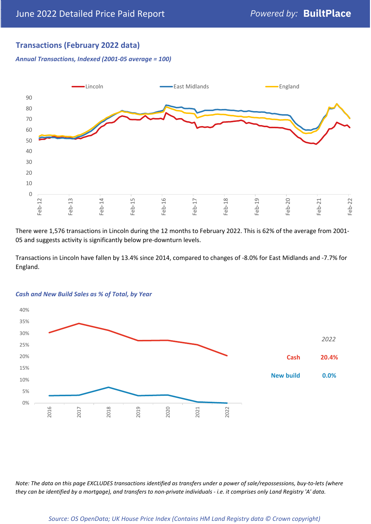# **Transactions (February 2022 data)**

*Annual Transactions, Indexed (2001-05 average = 100)*



There were 1,576 transactions in Lincoln during the 12 months to February 2022. This is 62% of the average from 2001- 05 and suggests activity is significantly below pre-downturn levels.

Transactions in Lincoln have fallen by 13.4% since 2014, compared to changes of -8.0% for East Midlands and -7.7% for England.



#### *Cash and New Build Sales as % of Total, by Year*

*Note: The data on this page EXCLUDES transactions identified as transfers under a power of sale/repossessions, buy-to-lets (where they can be identified by a mortgage), and transfers to non-private individuals - i.e. it comprises only Land Registry 'A' data.*